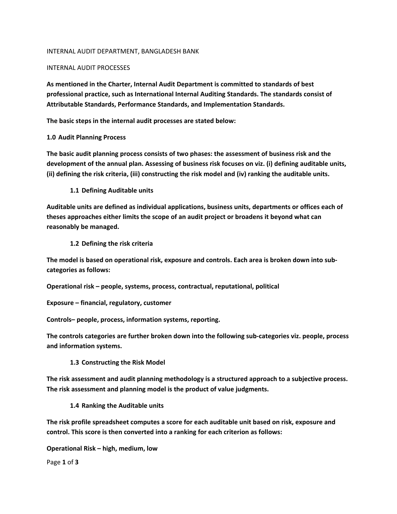### INTERNAL AUDIT DEPARTMENT, BANGLADESH BANK

### INTERNAL AUDIT PROCESSES

**As mentioned in the Charter, Internal Audit Department is committed to standards of best professional practice, such as International Internal Auditing Standards. The standards consist of Attributable Standards, Performance Standards, and Implementation Standards.** 

**The basic steps in the internal audit processes are stated below:**

## **1.0 Audit Planning Process**

**The basic audit planning process consists of two phases: the assessment of business risk and the development of the annual plan. Assessing of business risk focuses on viz. (i) defining auditable units,** (ii) defining the risk criteria, (iii) constructing the risk model and (iv) ranking the auditable units.

**1.1 Defining Auditable units**

**Auditable units are defined as individual applications, business units, departments or offices each of theses approaches either limits the scope of an audit project or broadens it beyond what can reasonably be managed.**

**1.2 Defining the risk criteria**

**The model is based on operational risk, exposure and controls. Each area is broken down into sub‐ categories as follows:**

**Operational risk – people, systems, process, contractual, reputational, political**

**Exposure – financial, regulatory, customer**

**Controls– people, process, information systems, reporting.**

**The controls categories are further broken down into the following sub‐categories viz. people, process and information systems.**

**1.3 Constructing the Risk Model**

**The risk assessment and audit planning methodology is a structured approach to a subjective process. The risk assessment and planning model is the product of value judgments.**

**1.4 Ranking the Auditable units**

**The risk profile spreadsheet computes a score for each auditable unit based on risk, exposure and control. This score is then converted into a ranking for each criterion as follows:**

**Operational Risk – high, medium, low**

Page **1** of **3**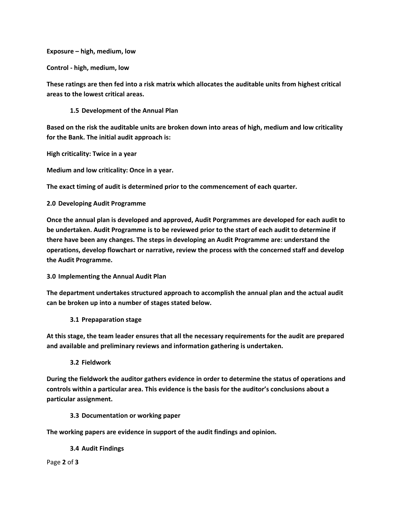**Exposure – high, medium, low**

**Control ‐ high, medium, low**

**These ratings are then fed into a risk matrix which allocates the auditable units from highest critical areas to the lowest critical areas.**

**1.5 Development of the Annual Plan**

Based on the risk the auditable units are broken down into areas of high, medium and low criticality **for the Bank. The initial audit approach is:**

**High criticality: Twice in a year** 

**Medium and low criticality: Once in a year.**

**The exact timing of audit is determined prior to the commencement of each quarter.**

**2.0 Developing Audit Programme**

**Once the annual plan is developed and approved, Audit Porgrammes are developed for each audit to be undertaken. Audit Programme is to be reviewed prior to the start of each audit to determine if there have been any changes. The steps in developing an Audit Programme are: understand the operations, develop flowchart or narrative, review the process with the concerned staff and develop the Audit Programme.**

**3.0 Implementing the Annual Audit Plan**

**The department undertakes structured approach to accomplish the annual plan and the actual audit can be broken up into a number of stages stated below.**

**3.1 Prepaparation stage**

**At this stage, the team leader ensures that all the necessary requirements for the audit are prepared and available and preliminary reviews and information gathering is undertaken.**

**3.2 Fieldwork**

**During the fieldwork the auditor gathers evidence in order to determine the status of operations and controls within a particular area. This evidence is the basis for the auditor's conclusions about a particular assignment.**

**3.3 Documentation or working paper**

**The working papers are evidence in support of the audit findings and opinion.**

**3.4 Audit Findings**

Page **2** of **3**